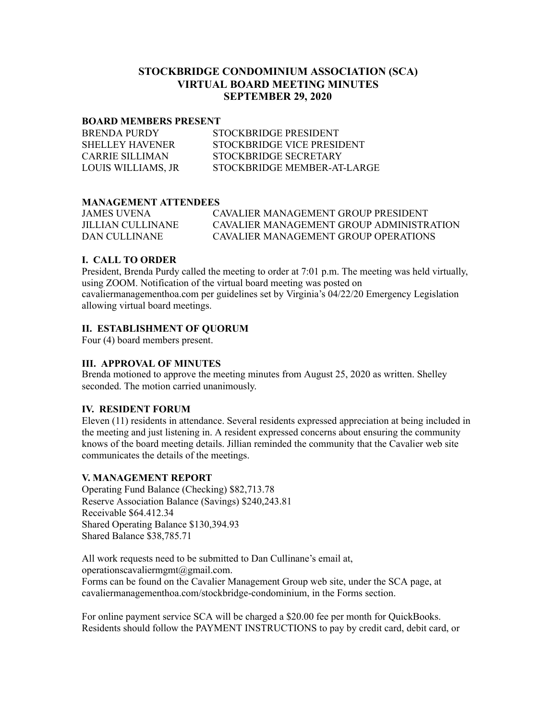# **STOCKBRIDGE CONDOMINIUM ASSOCIATION (SCA) VIRTUAL BOARD MEETING MINUTES SEPTEMBER 29, 2020**

#### **BOARD MEMBERS PRESENT**

| <b>BRENDA PURDY</b>    | STOCKBRIDGE PRESIDENT       |
|------------------------|-----------------------------|
| <b>SHELLEY HAVENER</b> | STOCKBRIDGE VICE PRESIDENT  |
| <b>CARRIE SILLIMAN</b> | STOCKBRIDGE SECRETARY       |
| LOUIS WILLIAMS, JR     | STOCKBRIDGE MEMBER-AT-LARGE |

### **MANAGEMENT ATTENDEES**

| <b>JAMES UVENA</b> | CAVALIER MANAGEMENT GROUP PRESIDENT      |
|--------------------|------------------------------------------|
| JILLIAN CULLINANE  | CAVALIER MANAGEMENT GROUP ADMINISTRATION |
| DAN CULLINANE      | CAVALIER MANAGEMENT GROUP OPER ATIONS    |

### **I. CALL TO ORDER**

President, Brenda Purdy called the meeting to order at 7:01 p.m. The meeting was held virtually, using ZOOM. Notification of the virtual board meeting was posted on cavaliermanagementhoa.com per guidelines set by Virginia's 04/22/20 Emergency Legislation allowing virtual board meetings.

#### **II. ESTABLISHMENT OF QUORUM**

Four (4) board members present.

#### **III. APPROVAL OF MINUTES**

Brenda motioned to approve the meeting minutes from August 25, 2020 as written. Shelley seconded. The motion carried unanimously.

#### **IV. RESIDENT FORUM**

Eleven (11) residents in attendance. Several residents expressed appreciation at being included in the meeting and just listening in. A resident expressed concerns about ensuring the community knows of the board meeting details. Jillian reminded the community that the Cavalier web site communicates the details of the meetings.

#### **V. MANAGEMENT REPORT**

Operating Fund Balance (Checking) \$82,713.78 Reserve Association Balance (Savings) \$240,243.81 Receivable \$64.412.34 Shared Operating Balance \$130,394.93 Shared Balance \$38,785.71

All work requests need to be submitted to Dan Cullinane's email at, operationscavaliermgmt@gmail.com. Forms can be found on the Cavalier Management Group web site, under the SCA page, at cavaliermanagementhoa.com/stockbridge-condominium, in the Forms section.

For online payment service SCA will be charged a \$20.00 fee per month for QuickBooks. Residents should follow the PAYMENT INSTRUCTIONS to pay by credit card, debit card, or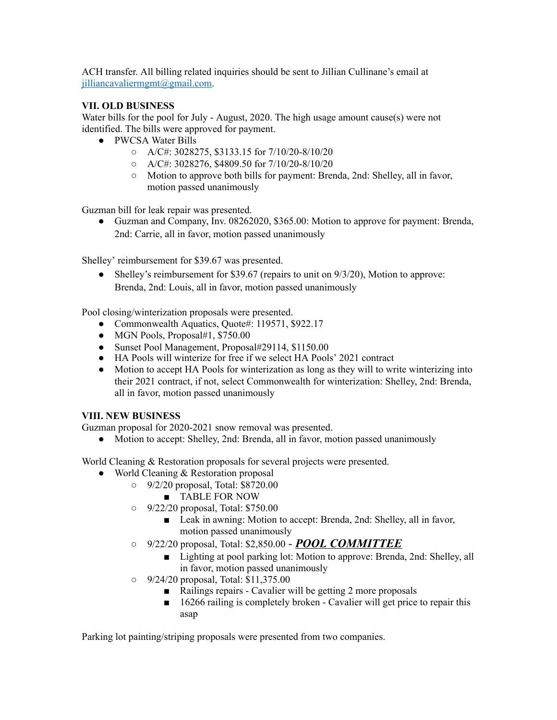ACH transfer. All billing related inquiries should be sent to Jillian Cullinane's email at [jilliancavaliermgmt@gmail.com.](mailto:jilliancavaliermgmt@gmail.com)

# **VII. OLD BUSINESS**

Water bills for the pool for July - August, 2020. The high usage amount cause(s) were not identified. The bills were approved for payment.

- PWCSA Water Bills
	- A/C#: 3028275, \$3133.15 for 7/10/20-8/10/20
	- A/C#: 3028276, \$4809.50 for 7/10/20-8/10/20
	- Motion to approve both bills for payment: Brenda, 2nd: Shelley, all in favor, motion passed unanimously

Guzman bill for leak repair was presented.

● Guzman and Company, Inv. 08262020, \$365.00: Motion to approve for payment: Brenda, 2nd: Carrie, all in favor, motion passed unanimously

Shelley' reimbursement for \$39.67 was presented.

• Shelley's reimbursement for \$39.67 (repairs to unit on  $9/3/20$ ), Motion to approve: Brenda, 2nd: Louis, all in favor, motion passed unanimously

Pool closing/winterization proposals were presented.

- Commonwealth Aquatics, Quote#: 119571, \$922.17
- $\bullet$  MGN Pools, Proposal#1, \$750.00
- Sunset Pool Management, Proposal#29114, \$1150.00
- HA Pools will winterize for free if we select HA Pools' 2021 contract
- Motion to accept HA Pools for winterization as long as they will to write winterizing into their 2021 contract, if not, select Commonwealth for winterization: Shelley, 2nd: Brenda, all in favor, motion passed unanimously

## **VIII. NEW BUSINESS**

Guzman proposal for 2020-2021 snow removal was presented.

• Motion to accept: Shelley, 2nd: Brenda, all in favor, motion passed unanimously

World Cleaning & Restoration proposals for several projects were presented.

- World Cleaning & Restoration proposal
	- 9/2/20 proposal, Total: \$8720.00
		- TABLE FOR NOW
	- 9/22/20 proposal, Total: \$750.00
		- Leak in awning: Motion to accept: Brenda, 2nd: Shelley, all in favor, motion passed unanimously
	- 9/22/20 proposal, Total: \$2,850.00 *POOL COMMITTEE*
		- Lighting at pool parking lot: Motion to approve: Brenda, 2nd: Shelley, all in favor, motion passed unanimously
	- 9/24/20 proposal, Total: \$11,375.00
		- Railings repairs Cavalier will be getting 2 more proposals
		- 16266 railing is completely broken Cavalier will get price to repair this asap

Parking lot painting/striping proposals were presented from two companies.